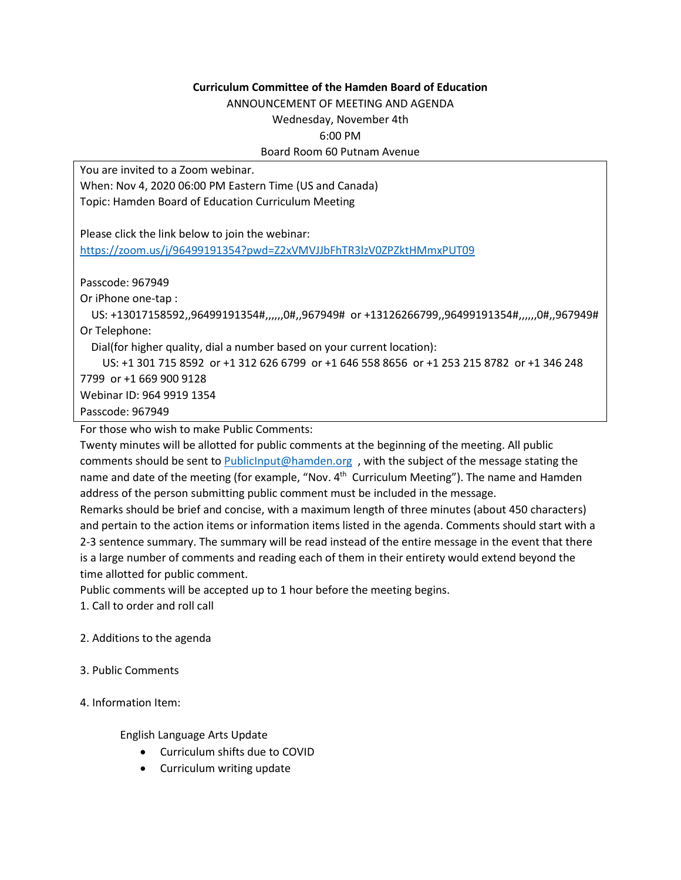## **Curriculum Committee of the Hamden Board of Education**

ANNOUNCEMENT OF MEETING AND AGENDA

Wednesday, November 4th 6:00 PM

## Board Room 60 Putnam Avenue

You are invited to a Zoom webinar.

When: Nov 4, 2020 06:00 PM Eastern Time (US and Canada) Topic: Hamden Board of Education Curriculum Meeting

Please click the link below to join the webinar: <https://zoom.us/j/96499191354?pwd=Z2xVMVJJbFhTR3lzV0ZPZktHMmxPUT09>

Passcode: 967949

Or iPhone one-tap :

 US: +13017158592,,96499191354#,,,,,,0#,,967949# or +13126266799,,96499191354#,,,,,,0#,,967949# Or Telephone:

Dial(for higher quality, dial a number based on your current location):

US: +1 301 715 8592 or +1 312 626 6799 or +1 646 558 8656 or +1 253 215 8782 or +1 346 248

7799 or +1 669 900 9128 Webinar ID: 964 9919 1354

Passcode: 967949

For those who wish to make Public Comments:

Twenty minutes will be allotted for public comments at the beginning of the meeting. All public comments should be sent to PublicInput@hamden.org, with the subject of the message stating the name and date of the meeting (for example, "Nov. 4<sup>th</sup> Curriculum Meeting"). The name and Hamden address of the person submitting public comment must be included in the message.

Remarks should be brief and concise, with a maximum length of three minutes (about 450 characters) and pertain to the action items or information items listed in the agenda. Comments should start with a 2-3 sentence summary. The summary will be read instead of the entire message in the event that there is a large number of comments and reading each of them in their entirety would extend beyond the time allotted for public comment.

Public comments will be accepted up to 1 hour before the meeting begins.

1. Call to order and roll call

## 2. Additions to the agenda

- 3. Public Comments
- 4. Information Item:

English Language Arts Update

- Curriculum shifts due to COVID
- Curriculum writing update